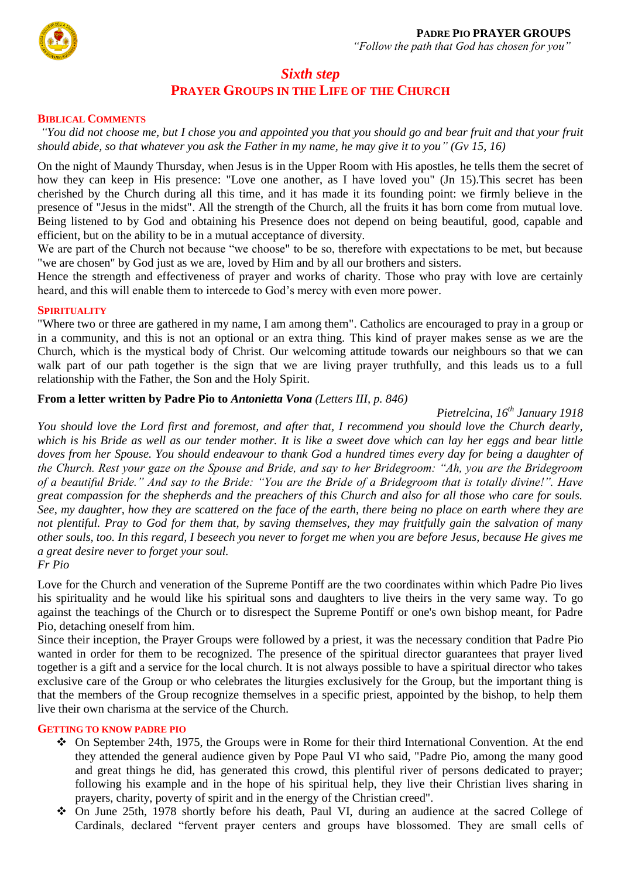

# *Sixth step* **PRAYER GROUPS IN THE LIFE OF THE CHURCH**

#### **BIBLICAL COMMENTS**

*"You did not choose me, but I chose you and appointed you that you should go and bear fruit and that your fruit should abide, so that whatever you ask the Father in my name, he may give it to you" (Gv 15, 16)*

On the night of Maundy Thursday, when Jesus is in the Upper Room with His apostles, he tells them the secret of how they can keep in His presence: "Love one another, as I have loved you" (Jn 15).This secret has been cherished by the Church during all this time, and it has made it its founding point: we firmly believe in the presence of "Jesus in the midst". All the strength of the Church, all the fruits it has born come from mutual love. Being listened to by God and obtaining his Presence does not depend on being beautiful, good, capable and efficient, but on the ability to be in a mutual acceptance of diversity.

We are part of the Church not because "we choose" to be so, therefore with expectations to be met, but because "we are chosen" by God just as we are, loved by Him and by all our brothers and sisters.

Hence the strength and effectiveness of prayer and works of charity. Those who pray with love are certainly heard, and this will enable them to intercede to God's mercy with even more power.

#### **SPIRITUALITY**

"Where two or three are gathered in my name, I am among them". Catholics are encouraged to pray in a group or in a community, and this is not an optional or an extra thing. This kind of prayer makes sense as we are the Church, which is the mystical body of Christ. Our welcoming attitude towards our neighbours so that we can walk part of our path together is the sign that we are living prayer truthfully, and this leads us to a full relationship with the Father, the Son and the Holy Spirit.

#### **From a letter written by Padre Pio to** *Antonietta Vona (Letters III, p. 846)*

*Pietrelcina, 16th January 1918*

*You should love the Lord first and foremost, and after that, I recommend you should love the Church dearly, which is his Bride as well as our tender mother. It is like a sweet dove which can lay her eggs and bear little doves from her Spouse. You should endeavour to thank God a hundred times every day for being a daughter of the Church. Rest your gaze on the Spouse and Bride, and say to her Bridegroom: "Ah, you are the Bridegroom of a beautiful Bride." And say to the Bride: "You are the Bride of a Bridegroom that is totally divine!". Have great compassion for the shepherds and the preachers of this Church and also for all those who care for souls. See, my daughter, how they are scattered on the face of the earth, there being no place on earth where they are not plentiful. Pray to God for them that, by saving themselves, they may fruitfully gain the salvation of many other souls, too. In this regard, I beseech you never to forget me when you are before Jesus, because He gives me a great desire never to forget your soul.*

*Fr Pio*

Love for the Church and veneration of the Supreme Pontiff are the two coordinates within which Padre Pio lives his spirituality and he would like his spiritual sons and daughters to live theirs in the very same way. To go against the teachings of the Church or to disrespect the Supreme Pontiff or one's own bishop meant, for Padre Pio, detaching oneself from him.

Since their inception, the Prayer Groups were followed by a priest, it was the necessary condition that Padre Pio wanted in order for them to be recognized. The presence of the spiritual director guarantees that prayer lived together is a gift and a service for the local church. It is not always possible to have a spiritual director who takes exclusive care of the Group or who celebrates the liturgies exclusively for the Group, but the important thing is that the members of the Group recognize themselves in a specific priest, appointed by the bishop, to help them live their own charisma at the service of the Church.

#### **GETTING TO KNOW PADRE PIO**

- On September 24th, 1975, the Groups were in Rome for their third International Convention. At the end they attended the general audience given by Pope Paul VI who said, "Padre Pio, among the many good and great things he did, has generated this crowd, this plentiful river of persons dedicated to prayer; following his example and in the hope of his spiritual help, they live their Christian lives sharing in prayers, charity, poverty of spirit and in the energy of the Christian creed".
- On June 25th, 1978 shortly before his death, Paul VI, during an audience at the sacred College of Cardinals, declared "fervent prayer centers and groups have blossomed. They are small cells of